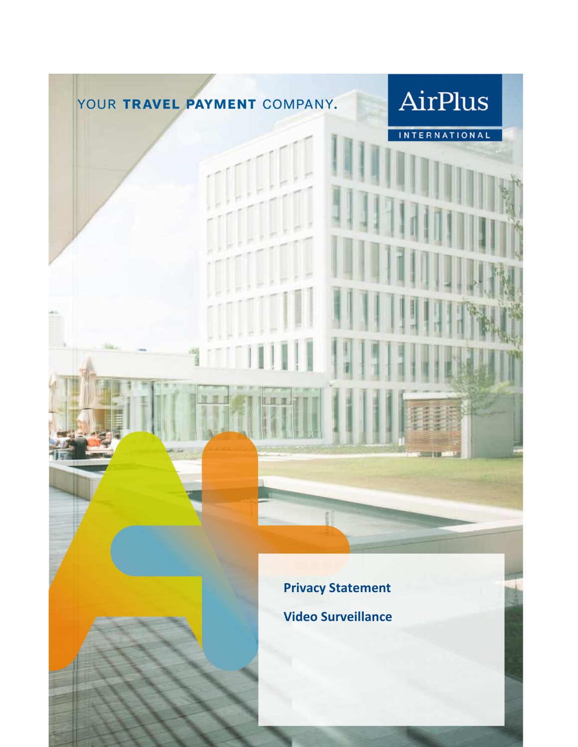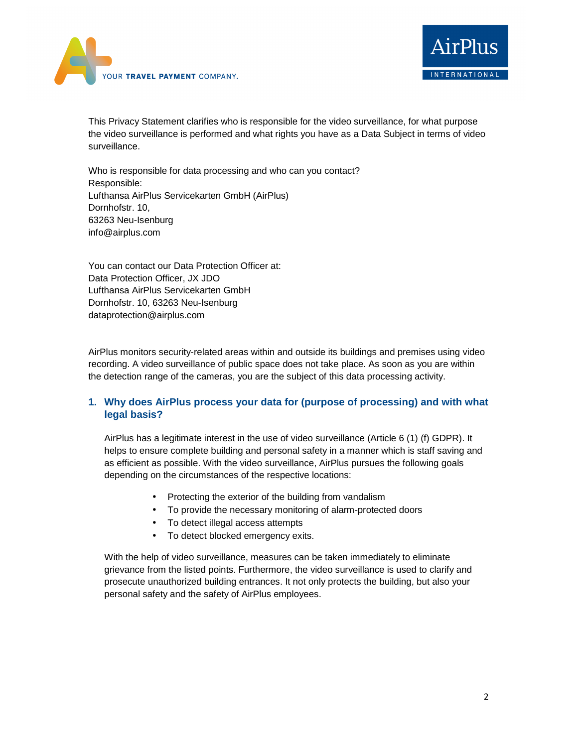



This Privacy Statement clarifies who is responsible for the video surveillance, for what purpose the video surveillance is performed and what rights you have as a Data Subject in terms of video surveillance.

Who is responsible for data processing and who can you contact? Responsible: Lufthansa AirPlus Servicekarten GmbH (AirPlus) Dornhofstr. 10, 63263 Neu-Isenburg info@airplus.com

You can contact our Data Protection Officer at: Data Protection Officer, JX JDO Lufthansa AirPlus Servicekarten GmbH Dornhofstr. 10, 63263 Neu-Isenburg dataprotection@airplus.com

AirPlus monitors security-related areas within and outside its buildings and premises using video recording. A video surveillance of public space does not take place. As soon as you are within the detection range of the cameras, you are the subject of this data processing activity.

## **1. Why does AirPlus process your data for (purpose of processing) and with what legal basis?**

AirPlus has a legitimate interest in the use of video surveillance (Article 6 (1) (f) GDPR). It helps to ensure complete building and personal safety in a manner which is staff saving and as efficient as possible. With the video surveillance, AirPlus pursues the following goals depending on the circumstances of the respective locations:

- Protecting the exterior of the building from vandalism
- To provide the necessary monitoring of alarm-protected doors
- To detect illegal access attempts
- To detect blocked emergency exits.

With the help of video surveillance, measures can be taken immediately to eliminate grievance from the listed points. Furthermore, the video surveillance is used to clarify and prosecute unauthorized building entrances. It not only protects the building, but also your personal safety and the safety of AirPlus employees.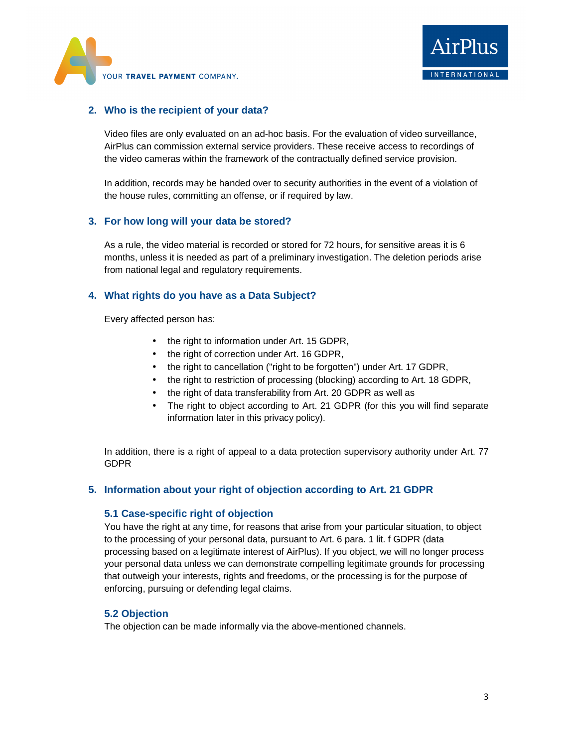



### **2. Who is the recipient of your data?**

Video files are only evaluated on an ad-hoc basis. For the evaluation of video surveillance, AirPlus can commission external service providers. These receive access to recordings of the video cameras within the framework of the contractually defined service provision.

In addition, records may be handed over to security authorities in the event of a violation of the house rules, committing an offense, or if required by law.

#### **3. For how long will your data be stored?**

As a rule, the video material is recorded or stored for 72 hours, for sensitive areas it is 6 months, unless it is needed as part of a preliminary investigation. The deletion periods arise from national legal and regulatory requirements.

#### **4. What rights do you have as a Data Subject?**

Every affected person has:

- the right to information under Art. 15 GDPR,
- the right of correction under Art. 16 GDPR,
- the right to cancellation ("right to be forgotten") under Art. 17 GDPR,
- the right to restriction of processing (blocking) according to Art. 18 GDPR,
- the right of data transferability from Art. 20 GDPR as well as
- The right to object according to Art. 21 GDPR (for this you will find separate information later in this privacy policy).

In addition, there is a right of appeal to a data protection supervisory authority under Art. 77 GDPR

#### **5. Information about your right of objection according to Art. 21 GDPR**

#### **5.1 Case-specific right of objection**

You have the right at any time, for reasons that arise from your particular situation, to object to the processing of your personal data, pursuant to Art. 6 para. 1 lit. f GDPR (data processing based on a legitimate interest of AirPlus). If you object, we will no longer process your personal data unless we can demonstrate compelling legitimate grounds for processing that outweigh your interests, rights and freedoms, or the processing is for the purpose of enforcing, pursuing or defending legal claims.

#### **5.2 Objection**

The objection can be made informally via the above-mentioned channels.